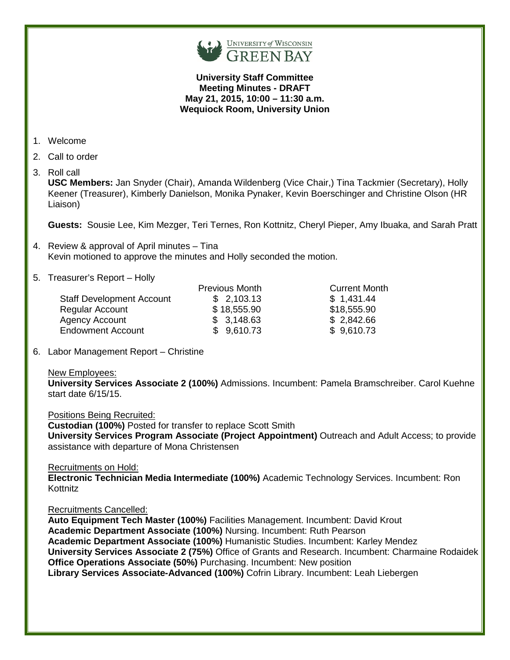

### **University Staff Committee Meeting Minutes - DRAFT May 21, 2015, 10:00 – 11:30 a.m. Wequiock Room, University Union**

- 1. Welcome
- 2. Call to order
- 3. Roll call

**USC Members:** Jan Snyder (Chair), Amanda Wildenberg (Vice Chair,) Tina Tackmier (Secretary), Holly Keener (Treasurer), Kimberly Danielson, Monika Pynaker, Kevin Boerschinger and Christine Olson (HR Liaison)

**Guests:** Sousie Lee, Kim Mezger, Teri Ternes, Ron Kottnitz, Cheryl Pieper, Amy Ibuaka, and Sarah Pratt

- 4. Review & approval of April minutes Tina Kevin motioned to approve the minutes and Holly seconded the motion.
- 5. Treasurer's Report Holly

| <b>Previous Month</b> | <b>Current Month</b> |
|-----------------------|----------------------|
| \$2,103.13            | \$1,431.44           |
| \$18,555.90           | \$18,555.90          |
| \$3,148.63            | \$2,842.66           |
| \$9,610.73            | \$9,610.73           |
|                       |                      |

6. Labor Management Report – Christine

### New Employees:

**University Services Associate 2 (100%)** Admissions. Incumbent: Pamela Bramschreiber. Carol Kuehne start date 6/15/15.

Positions Being Recruited:

**Custodian (100%)** Posted for transfer to replace Scott Smith **University Services Program Associate (Project Appointment)** Outreach and Adult Access; to provide assistance with departure of Mona Christensen

### Recruitments on Hold:

**Electronic Technician Media Intermediate (100%)** Academic Technology Services. Incumbent: Ron Kottnitz

### Recruitments Cancelled:

**Auto Equipment Tech Master (100%)** Facilities Management. Incumbent: David Krout **Academic Department Associate (100%)** Nursing. Incumbent: Ruth Pearson **Academic Department Associate (100%)** Humanistic Studies. Incumbent: Karley Mendez **University Services Associate 2 (75%)** Office of Grants and Research. Incumbent: Charmaine Rodaidek **Office Operations Associate (50%)** Purchasing. Incumbent: New position **Library Services Associate-Advanced (100%)** Cofrin Library. Incumbent: Leah Liebergen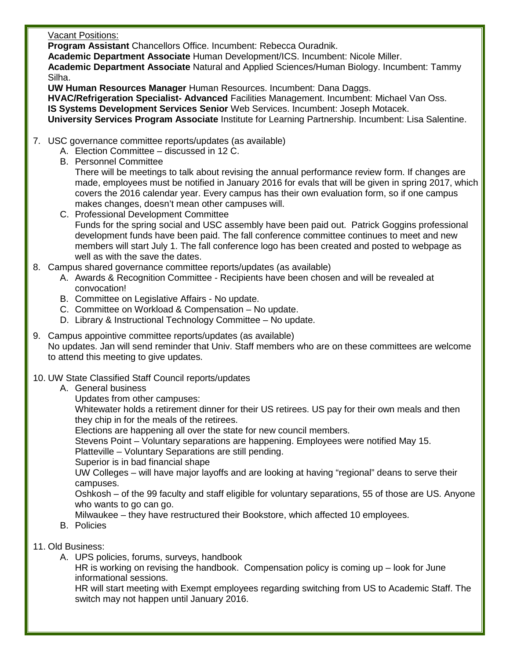## Vacant Positions:

**Program Assistant** Chancellors Office. Incumbent: Rebecca Ouradnik.

**Academic Department Associate** Human Development/ICS. Incumbent: Nicole Miller.

 **Academic Department Associate** Natural and Applied Sciences/Human Biology. Incumbent: Tammy Silha.

**UW Human Resources Manager** Human Resources. Incumbent: Dana Daggs.

 **HVAC/Refrigeration Specialist- Advanced** Facilities Management. Incumbent: Michael Van Oss. **IS Systems Development Services Senior** Web Services. Incumbent: Joseph Motacek.  **University Services Program Associate** Institute for Learning Partnership. Incumbent: Lisa Salentine.

- 7. USC governance committee reports/updates (as available)
	- A. Election Committee discussed in 12 C.
	- B. Personnel Committee

There will be meetings to talk about revising the annual performance review form. If changes are made, employees must be notified in January 2016 for evals that will be given in spring 2017, which covers the 2016 calendar year. Every campus has their own evaluation form, so if one campus makes changes, doesn't mean other campuses will.

- C. Professional Development Committee Funds for the spring social and USC assembly have been paid out. Patrick Goggins professional development funds have been paid. The fall conference committee continues to meet and new members will start July 1. The fall conference logo has been created and posted to webpage as well as with the save the dates.
- 8. Campus shared governance committee reports/updates (as available)
	- A. Awards & Recognition Committee Recipients have been chosen and will be revealed at convocation!
	- B. Committee on Legislative Affairs No update.
	- C. Committee on Workload & Compensation No update.
	- D. Library & Instructional Technology Committee No update.
- 9. Campus appointive committee reports/updates (as available) No updates. Jan will send reminder that Univ. Staff members who are on these committees are welcome to attend this meeting to give updates.
- 10. UW State Classified Staff Council reports/updates
	- A. General business
		- Updates from other campuses:

Whitewater holds a retirement dinner for their US retirees. US pay for their own meals and then they chip in for the meals of the retirees.

Elections are happening all over the state for new council members.

Stevens Point – Voluntary separations are happening. Employees were notified May 15.

Platteville – Voluntary Separations are still pending.

Superior is in bad financial shape

UW Colleges – will have major layoffs and are looking at having "regional" deans to serve their campuses.

Oshkosh – of the 99 faculty and staff eligible for voluntary separations, 55 of those are US. Anyone who wants to go can go.

Milwaukee – they have restructured their Bookstore, which affected 10 employees.

- B. Policies
- 11. Old Business:
	- A. UPS policies, forums, surveys, handbook

HR is working on revising the handbook. Compensation policy is coming up – look for June informational sessions.

HR will start meeting with Exempt employees regarding switching from US to Academic Staff. The switch may not happen until January 2016.